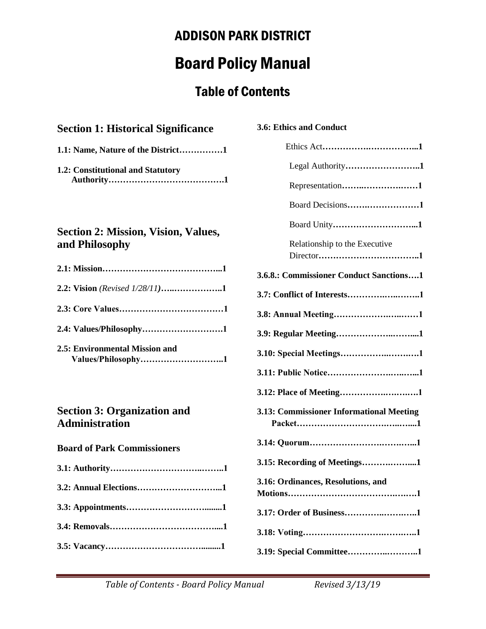# Board Policy Manual

# Table of Contents

### **Section 1: Historical Significance**

|  |  |  |  | 1.1: Name, Nature of the District1 |  |
|--|--|--|--|------------------------------------|--|
|--|--|--|--|------------------------------------|--|

**1.2: Constitutional and Statutory Authority………………………………….1**

### **Section 2: Mission, Vision, Values, and Philosophy**

| 2.5: Environmental Mission and<br>Values/Philosophy1 |
|------------------------------------------------------|

### **Section 3: Organization and Administration**

#### **Board of Park Commissioners**

# **3.6: Ethics and Conduct**

| Legal Authority1                         |
|------------------------------------------|
| Representation1                          |
| Board Decisions1                         |
|                                          |
| Relationship to the Executive            |
| 3.6.8.: Commissioner Conduct Sanctions1  |
| 3.7: Conflict of Interests1              |
|                                          |
|                                          |
|                                          |
|                                          |
|                                          |
| 3.13: Commissioner Informational Meeting |
|                                          |
| 3.15: Recording of Meetings1             |
| 3.16: Ordinances, Resolutions, and       |
| 3.17: Order of Business1                 |
|                                          |
| 3.19: Special Committee1                 |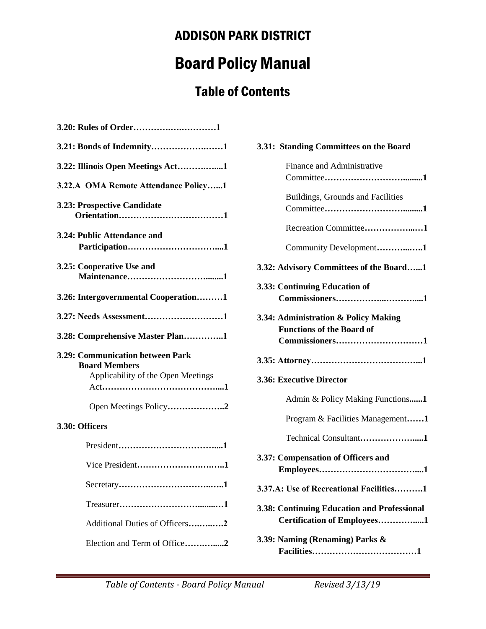# Board Policy Manual

# Table of Contents

| 3.20: Rules of Order1                                                                          |
|------------------------------------------------------------------------------------------------|
| 3.21: Bonds of Indemnity1                                                                      |
| 3.22: Illinois Open Meetings Act1                                                              |
| 3.22.A OMA Remote Attendance Policy1                                                           |
| 3.23: Prospective Candidate                                                                    |
| 3.24: Public Attendance and                                                                    |
| 3.25: Cooperative Use and                                                                      |
| 3.26: Intergovernmental Cooperation1                                                           |
| 3.27: Needs Assessment1                                                                        |
|                                                                                                |
| 3.28: Comprehensive Master Plan1                                                               |
| 3.29: Communication between Park<br><b>Board Members</b><br>Applicability of the Open Meetings |
| Open Meetings Policy2                                                                          |
| 3.30: Officers                                                                                 |
|                                                                                                |
| Vice President1                                                                                |
|                                                                                                |
|                                                                                                |

| 3.31: Standing Committees on the Board                                                     |
|--------------------------------------------------------------------------------------------|
| Finance and Administrative                                                                 |
| Buildings, Grounds and Facilities                                                          |
| Recreation Committee1                                                                      |
| Community Development1                                                                     |
| 3.32: Advisory Committees of the Board1                                                    |
| 3.33: Continuing Education of                                                              |
| 3.34: Administration & Policy Making<br><b>Functions of the Board of</b><br>Commissioners1 |
|                                                                                            |
| 3.36: Executive Director                                                                   |
| Admin & Policy Making Functions1                                                           |
| Program & Facilities Management1                                                           |
| Technical Consultant1                                                                      |
| 3.37: Compensation of Officers and                                                         |
|                                                                                            |
| 3.37.A: Use of Recreational Facilities1                                                    |
| 3.38: Continuing Education and Professional<br>Certification of Employees1                 |

Election and Term of Office**…….….....2**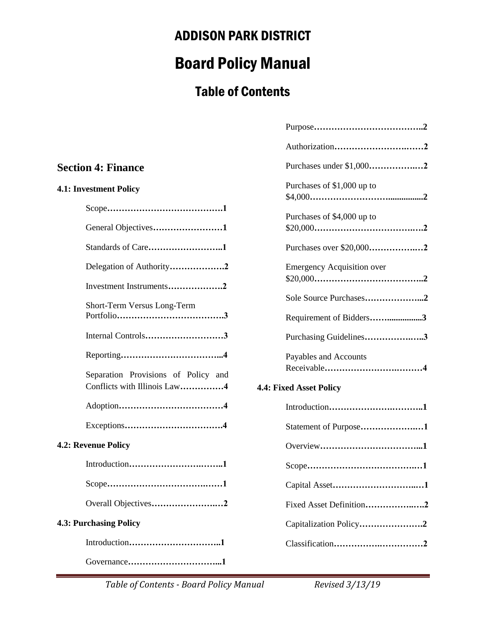# Board Policy Manual

# Table of Contents

|                                                                     | Authorization2                                    |
|---------------------------------------------------------------------|---------------------------------------------------|
| <b>Section 4: Finance</b>                                           | Purchases under \$1,0002                          |
| 4.1: Investment Policy                                              | Purchases of \$1,000 up to                        |
|                                                                     | Purchases of \$4,000 up to                        |
| General Objectives1                                                 |                                                   |
| Standards of Care1                                                  | Purchases over \$20,0002                          |
| Delegation of Authority2<br>Investment Instruments2                 | <b>Emergency Acquisition over</b>                 |
| Short-Term Versus Long-Term                                         | Sole Source Purchases2<br>Requirement of Bidders3 |
| Internal Controls3                                                  | Purchasing Guidelines3                            |
| Separation Provisions of Policy and<br>Conflicts with Illinois Law4 | Payables and Accounts                             |
|                                                                     | 4.4: Fixed Asset Policy                           |
|                                                                     | Statement of Purpose1                             |
| 4.2: Revenue Policy                                                 |                                                   |
|                                                                     |                                                   |
|                                                                     |                                                   |
| Overall Objectives2                                                 | Fixed Asset Definition2                           |
| <b>4.3: Purchasing Policy</b>                                       | Capitalization Policy2                            |
|                                                                     |                                                   |
|                                                                     |                                                   |

Table of Contents - Board Policy Manual Revised 3/13/19

Purpose**………………………………..2**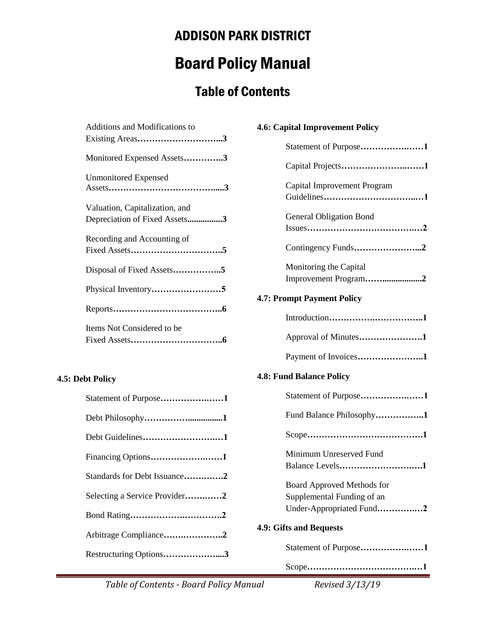# Board Policy Manual

# Table of Contents

| Additions and Modifications to                                  |
|-----------------------------------------------------------------|
|                                                                 |
| Monitored Expensed Assets3                                      |
| <b>Unmonitored Expensed</b>                                     |
| Valuation, Capitalization, and<br>Depreciation of Fixed Assets3 |
| Recording and Accounting of                                     |
| Disposal of Fixed Assets5                                       |
|                                                                 |
|                                                                 |
| Items Not Considered to be                                      |

#### **4.5: Debt Policy**

| Statement of Purpose1         |  |
|-------------------------------|--|
|                               |  |
| Debt Guidelines1              |  |
| Financing Options1            |  |
| Standards for Debt Issuance2  |  |
| Selecting a Service Provider2 |  |
|                               |  |
| Arbitrage Compliance2         |  |
| Restructuring Options3        |  |

| 4.6: Capital Improvement Policy                                                      |
|--------------------------------------------------------------------------------------|
| Statement of Purpose1                                                                |
| Capital Projects1                                                                    |
| Capital Improvement Program                                                          |
| <b>General Obligation Bond</b>                                                       |
|                                                                                      |
| Monitoring the Capital<br>Improvement Program2                                       |
| <b>4.7: Prompt Payment Policy</b>                                                    |
|                                                                                      |
| Approval of Minutes1                                                                 |
| Payment of Invoices1                                                                 |
| <b>4.8: Fund Balance Policy</b>                                                      |
| Statement of Purpose1                                                                |
| Fund Balance Philosophy1                                                             |
|                                                                                      |
| Minimum Unreserved Fund<br>Balance Levels1                                           |
| Board Approved Methods for<br>Supplemental Funding of an<br>Under-Appropriated Fund2 |
| 4.9: Gifts and Bequests                                                              |
| Statement of Purpose1                                                                |
|                                                                                      |

Table of Contents - Board Policy Manual Revised 3/13/19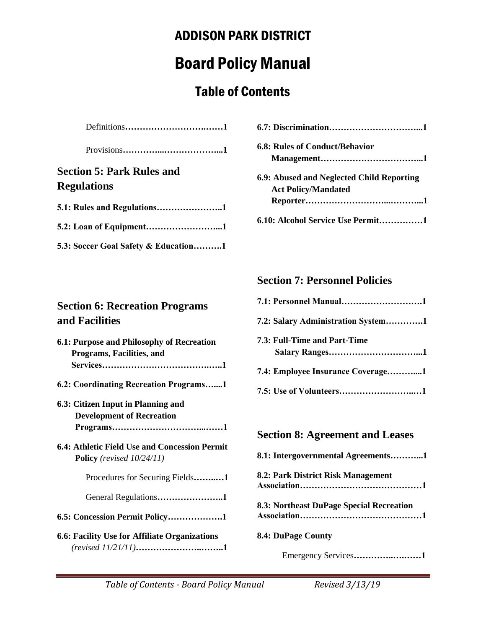# Board Policy Manual

# Table of Contents

|--|--|

Provisions**…………...………………...1**

## **Section 5: Park Rules and Regulations**

| 5.3: Soccer Goal Safety & Education1 |
|--------------------------------------|

| 6.8: Rules of Conduct/Behavior            |
|-------------------------------------------|
|                                           |
| 6.9: Abused and Neglected Child Reporting |
| <b>Act Policy/Mandated</b>                |
|                                           |
| 6.10: Alcohol Service Use Permit1         |

## **Section 7: Personnel Policies**

| 7.2: Salary Administration System1 |
|------------------------------------|
| 7.3: Full-Time and Part-Time       |
| 7.4: Employee Insurance Coverage1  |
|                                    |

## **Section 8: Agreement and Leases**

| 8.1: Intergovernmental Agreements1       |
|------------------------------------------|
| 8.2: Park District Risk Management       |
| 8.3: Northeast DuPage Special Recreation |
| <b>8.4: DuPage County</b>                |
| Emergency Services1                      |

## **Section 6: Recreation Programs and Facilities**

| 6.1: Purpose and Philosophy of Recreation<br>Programs, Facilities, and        |  |  |  |
|-------------------------------------------------------------------------------|--|--|--|
| 6.2: Coordinating Recreation Programs1                                        |  |  |  |
| 6.3: Citizen Input in Planning and<br><b>Development of Recreation</b>        |  |  |  |
| 6.4: Athletic Field Use and Concession Permit<br>Policy (revised $10/24/11$ ) |  |  |  |
| Procedures for Securing Fields1                                               |  |  |  |
| General Regulations1                                                          |  |  |  |
| 6.5: Concession Permit Policy1                                                |  |  |  |
| 6.6: Facility Use for Affiliate Organizations                                 |  |  |  |